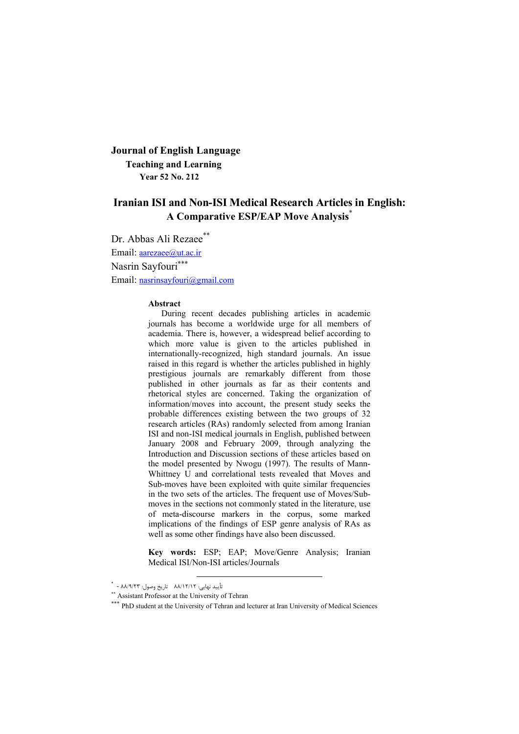## **Journal of English Language Teaching and Learning Year 52 No. 212**

# **Iranian ISI and Non-ISI Medical Research Articles in English: A Comparative ESP/EAP Move Analysis**\*

Dr. Abbas Ali Rezaee\*\* Email: [aarezaee@ut.ac.ir](mailto:aarezaee@ut.ac.ir) Nasrin Sayfouri Email: [nasrinsayfouri@gmail.com](mailto:nasrinsayfouri@gmail.com)

#### **Abstract**

 During recent decades publishing articles in academic journals has become a worldwide urge for all members of academia. There is, however, a widespread belief according to which more value is given to the articles published in internationally-recognized, high standard journals. An issue raised in this regard is whether the articles published in highly prestigious journals are remarkably different from those published in other journals as far as their contents and rhetorical styles are concerned. Taking the organization of information/moves into account, the present study seeks the probable differences existing between the two groups of 32 research articles (RAs) randomly selected from among Iranian ISI and non-ISI medical journals in English, published between January 2008 and February 2009, through analyzing the Introduction and Discussion sections of these articles based on the model presented by Nwogu (1997). The results of Mann-Whittney U and correlational tests revealed that Moves and Sub-moves have been exploited with quite similar frequencies in the two sets of the articles. The frequent use of Moves/Submoves in the sections not commonly stated in the literature, use of meta-discourse markers in the corpus, some marked implications of the findings of ESP genre analysis of RAs as well as some other findings have also been discussed.

**Key words:** ESP; EAP; Move/Genre Analysis; Iranian Medical ISI/Non-ISI articles/Journals

 $\overline{a}$ 

<sup>\* - 88/ 38/12/17</sup> تاریخ وصول: ۹۸/۱۹/۲۳ -

<sup>\*\*</sup> Assistant Professor at the University of Tehran

<sup>\*\*\*</sup> PhD student at the University of Tehran and lecturer at Iran University of Medical Sciences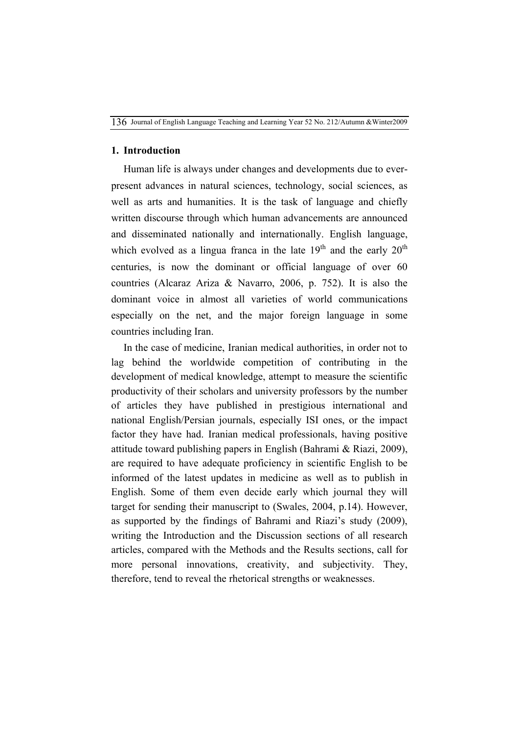### **1. Introduction**

Human life is always under changes and developments due to everpresent advances in natural sciences, technology, social sciences, as well as arts and humanities. It is the task of language and chiefly written discourse through which human advancements are announced and disseminated nationally and internationally. English language, which evolved as a lingua franca in the late  $19<sup>th</sup>$  and the early  $20<sup>th</sup>$ centuries, is now the dominant or official language of over 60 countries (Alcaraz Ariza & Navarro, 2006, p. 752). It is also the dominant voice in almost all varieties of world communications especially on the net, and the major foreign language in some countries including Iran.

In the case of medicine, Iranian medical authorities, in order not to lag behind the worldwide competition of contributing in the development of medical knowledge, attempt to measure the scientific productivity of their scholars and university professors by the number of articles they have published in prestigious international and national English/Persian journals, especially ISI ones, or the impact factor they have had. Iranian medical professionals, having positive attitude toward publishing papers in English (Bahrami & Riazi, 2009), are required to have adequate proficiency in scientific English to be informed of the latest updates in medicine as well as to publish in English. Some of them even decide early which journal they will target for sending their manuscript to (Swales, 2004, p.14). However, as supported by the findings of Bahrami and Riazi's study (2009), writing the Introduction and the Discussion sections of all research articles, compared with the Methods and the Results sections, call for more personal innovations, creativity, and subjectivity. They, therefore, tend to reveal the rhetorical strengths or weaknesses.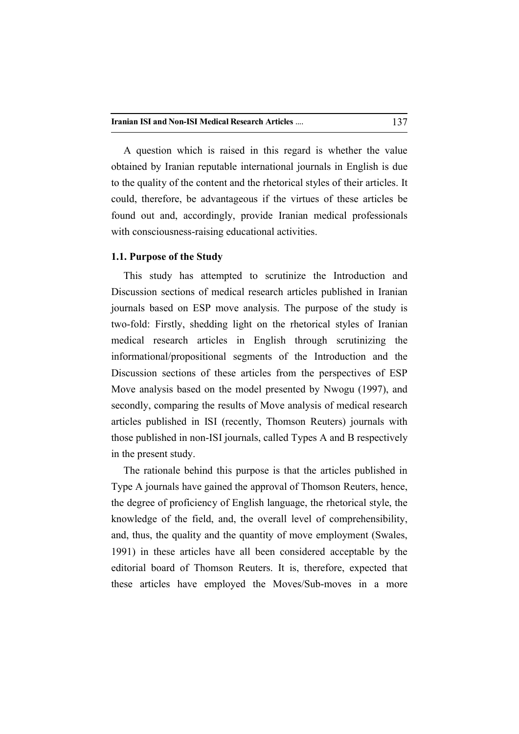A question which is raised in this regard is whether the value obtained by Iranian reputable international journals in English is due to the quality of the content and the rhetorical styles of their articles. It could, therefore, be advantageous if the virtues of these articles be found out and, accordingly, provide Iranian medical professionals with consciousness-raising educational activities.

#### **1.1. Purpose of the Study**

This study has attempted to scrutinize the Introduction and Discussion sections of medical research articles published in Iranian journals based on ESP move analysis. The purpose of the study is two-fold: Firstly, shedding light on the rhetorical styles of Iranian medical research articles in English through scrutinizing the informational/propositional segments of the Introduction and the Discussion sections of these articles from the perspectives of ESP Move analysis based on the model presented by Nwogu (1997), and secondly, comparing the results of Move analysis of medical research articles published in ISI (recently, Thomson Reuters) journals with those published in non-ISI journals, called Types A and B respectively in the present study.

The rationale behind this purpose is that the articles published in Type A journals have gained the approval of Thomson Reuters, hence, the degree of proficiency of English language, the rhetorical style, the knowledge of the field, and, the overall level of comprehensibility, and, thus, the quality and the quantity of move employment (Swales, 1991) in these articles have all been considered acceptable by the editorial board of Thomson Reuters. It is, therefore, expected that these articles have employed the Moves/Sub-moves in a more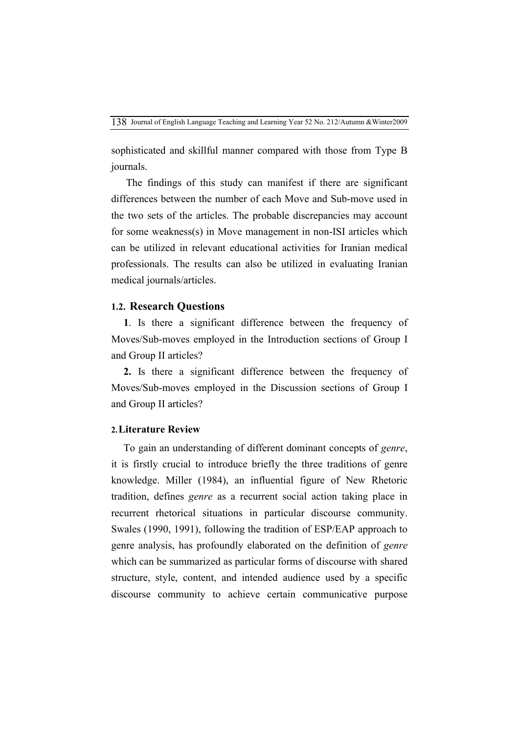sophisticated and skillful manner compared with those from Type B journals.

The findings of this study can manifest if there are significant differences between the number of each Move and Sub-move used in the two sets of the articles. The probable discrepancies may account for some weakness(s) in Move management in non-ISI articles which can be utilized in relevant educational activities for Iranian medical professionals. The results can also be utilized in evaluating Iranian medical journals/articles.

### **1.2. Research Questions**

**1**. Is there a significant difference between the frequency of Moves/Sub-moves employed in the Introduction sections of Group I and Group II articles?

**2.** Is there a significant difference between the frequency of Moves/Sub-moves employed in the Discussion sections of Group I and Group II articles?

### **2.Literature Review**

To gain an understanding of different dominant concepts of *genre*, it is firstly crucial to introduce briefly the three traditions of genre knowledge. Miller (1984), an influential figure of New Rhetoric tradition, defines *genre* as a recurrent social action taking place in recurrent rhetorical situations in particular discourse community. Swales (1990, 1991), following the tradition of ESP/EAP approach to genre analysis, has profoundly elaborated on the definition of *genre* which can be summarized as particular forms of discourse with shared structure, style, content, and intended audience used by a specific discourse community to achieve certain communicative purpose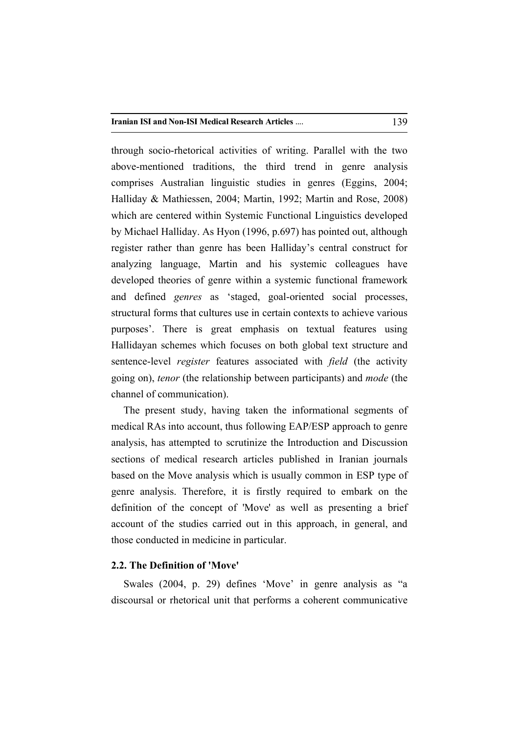through socio-rhetorical activities of writing. Parallel with the two above-mentioned traditions, the third trend in genre analysis comprises Australian linguistic studies in genres (Eggins, 2004; Halliday & Mathiessen, 2004; Martin, 1992; Martin and Rose, 2008) which are centered within Systemic Functional Linguistics developed by Michael Halliday. As Hyon (1996, p.697) has pointed out, although register rather than genre has been Halliday's central construct for analyzing language, Martin and his systemic colleagues have developed theories of genre within a systemic functional framework and defined *genres* as 'staged, goal-oriented social processes, structural forms that cultures use in certain contexts to achieve various purposes'. There is great emphasis on textual features using Hallidayan schemes which focuses on both global text structure and sentence-level *register* features associated with *field* (the activity going on), *tenor* (the relationship between participants) and *mode* (the channel of communication).

The present study, having taken the informational segments of medical RAs into account, thus following EAP/ESP approach to genre analysis, has attempted to scrutinize the Introduction and Discussion sections of medical research articles published in Iranian journals based on the Move analysis which is usually common in ESP type of genre analysis. Therefore, it is firstly required to embark on the definition of the concept of 'Move' as well as presenting a brief account of the studies carried out in this approach, in general, and those conducted in medicine in particular.

### **2.2. The Definition of 'Move'**

Swales (2004, p. 29) defines 'Move' in genre analysis as "a discoursal or rhetorical unit that performs a coherent communicative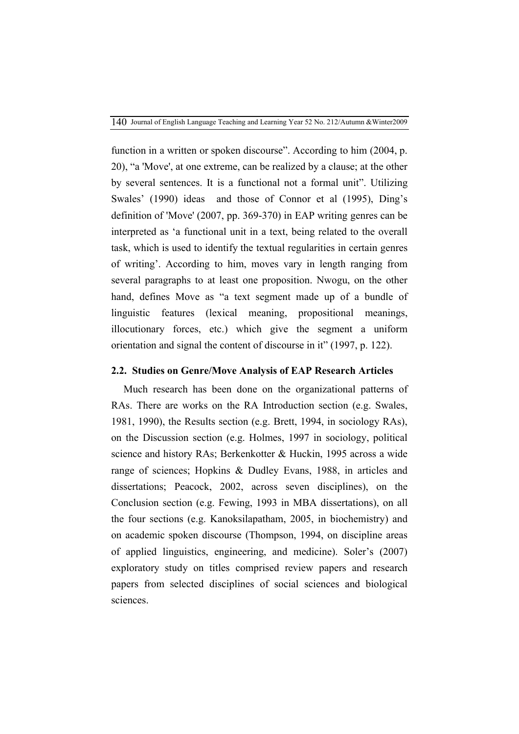function in a written or spoken discourse". According to him (2004, p. 20), "a 'Move', at one extreme, can be realized by a clause; at the other by several sentences. It is a functional not a formal unit". Utilizing Swales' (1990) ideas and those of Connor et al (1995), Ding's definition of 'Move' (2007, pp. 369-370) in EAP writing genres can be interpreted as 'a functional unit in a text, being related to the overall task, which is used to identify the textual regularities in certain genres of writing'. According to him, moves vary in length ranging from several paragraphs to at least one proposition. Nwogu, on the other hand, defines Move as "a text segment made up of a bundle of linguistic features (lexical meaning, propositional meanings, illocutionary forces, etc.) which give the segment a uniform orientation and signal the content of discourse in it" (1997, p. 122).

### **2.2. Studies on Genre/Move Analysis of EAP Research Articles**

Much research has been done on the organizational patterns of RAs. There are works on the RA Introduction section (e.g. Swales, 1981, 1990), the Results section (e.g. Brett, 1994, in sociology RAs), on the Discussion section (e.g. Holmes, 1997 in sociology, political science and history RAs; Berkenkotter & Huckin, 1995 across a wide range of sciences; Hopkins & Dudley Evans, 1988, in articles and dissertations; Peacock, 2002, across seven disciplines), on the Conclusion section (e.g. Fewing, 1993 in MBA dissertations), on all the four sections (e.g. Kanoksilapatham, 2005, in biochemistry) and on academic spoken discourse (Thompson, 1994, on discipline areas of applied linguistics, engineering, and medicine). Soler's (2007) exploratory study on titles comprised review papers and research papers from selected disciplines of social sciences and biological sciences.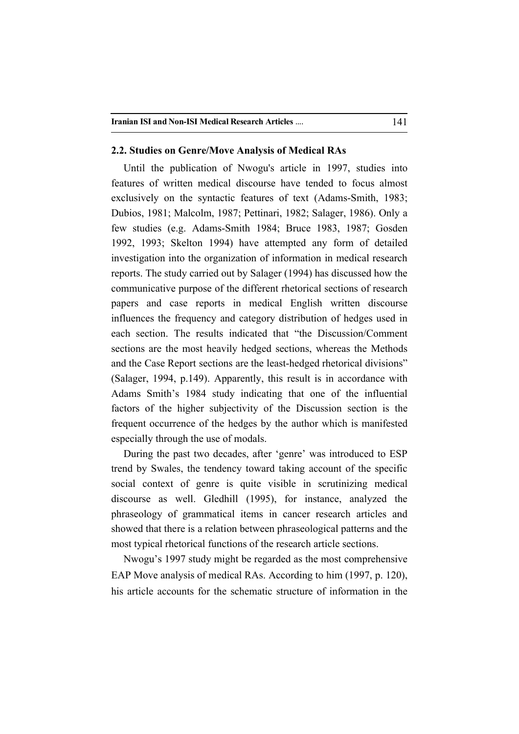### **2.2. Studies on Genre/Move Analysis of Medical RAs**

Until the publication of Nwogu's article in 1997, studies into features of written medical discourse have tended to focus almost exclusively on the syntactic features of text (Adams-Smith, 1983; Dubios, 1981; Malcolm, 1987; Pettinari, 1982; Salager, 1986). Only a few studies (e.g. Adams-Smith 1984; Bruce 1983, 1987; Gosden 1992, 1993; Skelton 1994) have attempted any form of detailed investigation into the organization of information in medical research reports. The study carried out by Salager (1994) has discussed how the communicative purpose of the different rhetorical sections of research papers and case reports in medical English written discourse influences the frequency and category distribution of hedges used in each section. The results indicated that "the Discussion/Comment sections are the most heavily hedged sections, whereas the Methods and the Case Report sections are the least-hedged rhetorical divisions" (Salager, 1994, p.149). Apparently, this result is in accordance with Adams Smith's 1984 study indicating that one of the influential factors of the higher subjectivity of the Discussion section is the frequent occurrence of the hedges by the author which is manifested especially through the use of modals.

During the past two decades, after 'genre' was introduced to ESP trend by Swales, the tendency toward taking account of the specific social context of genre is quite visible in scrutinizing medical discourse as well. Gledhill (1995), for instance, analyzed the phraseology of grammatical items in cancer research articles and showed that there is a relation between phraseological patterns and the most typical rhetorical functions of the research article sections.

Nwogu's 1997 study might be regarded as the most comprehensive EAP Move analysis of medical RAs. According to him (1997, p. 120), his article accounts for the schematic structure of information in the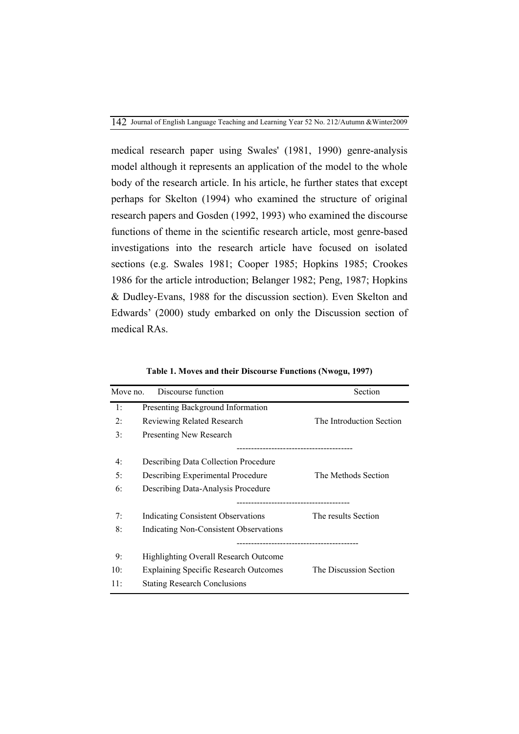medical research paper using Swales' (1981, 1990) genre-analysis model although it represents an application of the model to the whole body of the research article. In his article, he further states that except perhaps for Skelton (1994) who examined the structure of original research papers and Gosden (1992, 1993) who examined the discourse functions of theme in the scientific research article, most genre-based investigations into the research article have focused on isolated sections (e.g. Swales 1981; Cooper 1985; Hopkins 1985; Crookes 1986 for the article introduction; Belanger 1982; Peng, 1987; Hopkins & Dudley-Evans, 1988 for the discussion section). Even Skelton and Edwards' (2000) study embarked on only the Discussion section of medical RAs.

| Move no. | Discourse function                           | Section                  |
|----------|----------------------------------------------|--------------------------|
| 1:       | Presenting Background Information            |                          |
| 2:       | Reviewing Related Research                   | The Introduction Section |
| 3:       | <b>Presenting New Research</b>               |                          |
|          |                                              |                          |
| 4:       | <b>Describing Data Collection Procedure</b>  |                          |
| 5:       | Describing Experimental Procedure            | The Methods Section      |
| 6:       | Describing Data-Analysis Procedure           |                          |
| 7:       | Indicating Consistent Observations           | The results Section      |
|          |                                              |                          |
| 8:       | Indicating Non-Consistent Observations       |                          |
| 9:       | Highlighting Overall Research Outcome        |                          |
| 10:      | <b>Explaining Specific Research Outcomes</b> | The Discussion Section   |
| 11:      | <b>Stating Research Conclusions</b>          |                          |

**Table 1. Moves and their Discourse Functions (Nwogu, 1997)**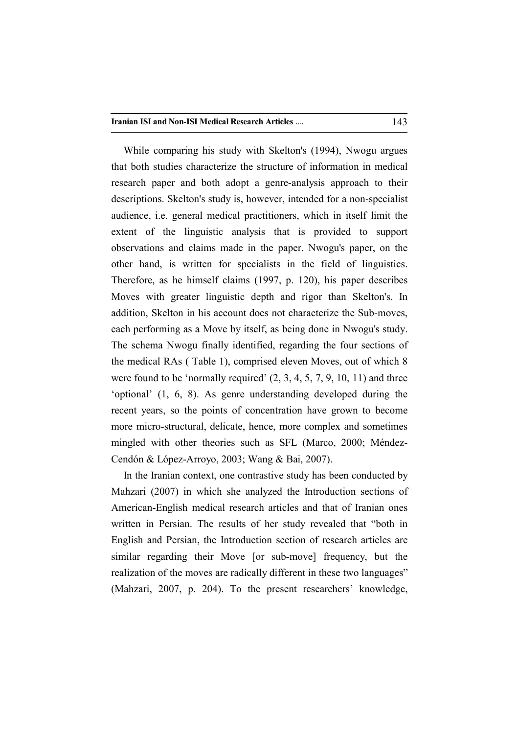While comparing his study with Skelton's (1994), Nwogu argues that both studies characterize the structure of information in medical research paper and both adopt a genre-analysis approach to their descriptions. Skelton's study is, however, intended for a non-specialist audience, i.e. general medical practitioners, which in itself limit the extent of the linguistic analysis that is provided to support observations and claims made in the paper. Nwogu's paper, on the other hand, is written for specialists in the field of linguistics. Therefore, as he himself claims (1997, p. 120), his paper describes Moves with greater linguistic depth and rigor than Skelton's. In addition, Skelton in his account does not characterize the Sub-moves, each performing as a Move by itself, as being done in Nwogu's study. The schema Nwogu finally identified, regarding the four sections of the medical RAs ( Table 1), comprised eleven Moves, out of which 8 were found to be 'normally required'  $(2, 3, 4, 5, 7, 9, 10, 11)$  and three 'optional' (1, 6, 8). As genre understanding developed during the recent years, so the points of concentration have grown to become more micro-structural, delicate, hence, more complex and sometimes mingled with other theories such as SFL (Marco, 2000; Méndez-Cendón & López-Arroyo, 2003; Wang & Bai, 2007).

In the Iranian context, one contrastive study has been conducted by Mahzari (2007) in which she analyzed the Introduction sections of American-English medical research articles and that of Iranian ones written in Persian. The results of her study revealed that "both in English and Persian, the Introduction section of research articles are similar regarding their Move [or sub-move] frequency, but the realization of the moves are radically different in these two languages" (Mahzari, 2007, p. 204). To the present researchers' knowledge,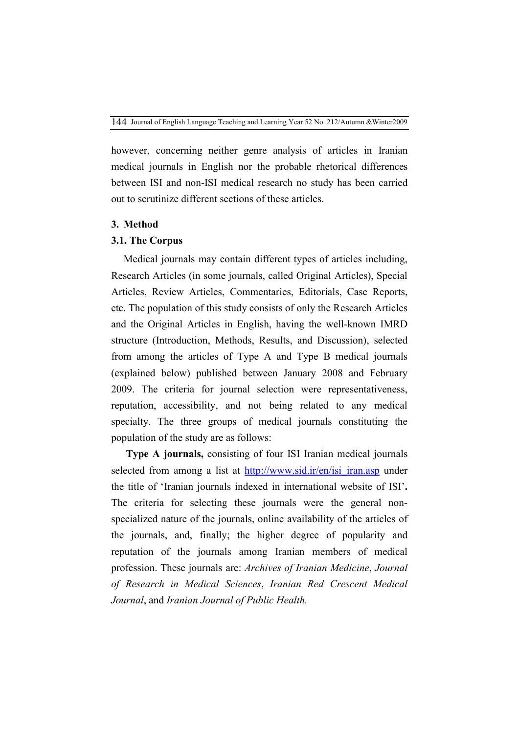however, concerning neither genre analysis of articles in Iranian medical journals in English nor the probable rhetorical differences between ISI and non-ISI medical research no study has been carried out to scrutinize different sections of these articles.

## **3. Method**

### **3.1. The Corpus**

Medical journals may contain different types of articles including, Research Articles (in some journals, called Original Articles), Special Articles, Review Articles, Commentaries, Editorials, Case Reports, etc. The population of this study consists of only the Research Articles and the Original Articles in English, having the well-known IMRD structure (Introduction, Methods, Results, and Discussion), selected from among the articles of Type A and Type B medical journals (explained below) published between January 2008 and February 2009. The criteria for journal selection were representativeness, reputation, accessibility, and not being related to any medical specialty. The three groups of medical journals constituting the population of the study are as follows:

**Type A journals,** consisting of four ISI Iranian medical journals selected from among a list at http://www.sid.ir/en/isi\_iran.asp under the title of 'Iranian journals indexed in international website of ISI'**.**  The criteria for selecting these journals were the general nonspecialized nature of the journals, online availability of the articles of the journals, and, finally; the higher degree of popularity and reputation of the journals among Iranian members of medical profession. These journals are: *Archives of Iranian Medicine*, *Journal of Research in Medical Sciences*, *Iranian Red Crescent Medical Journal*, and *Iranian Journal of Public Health.*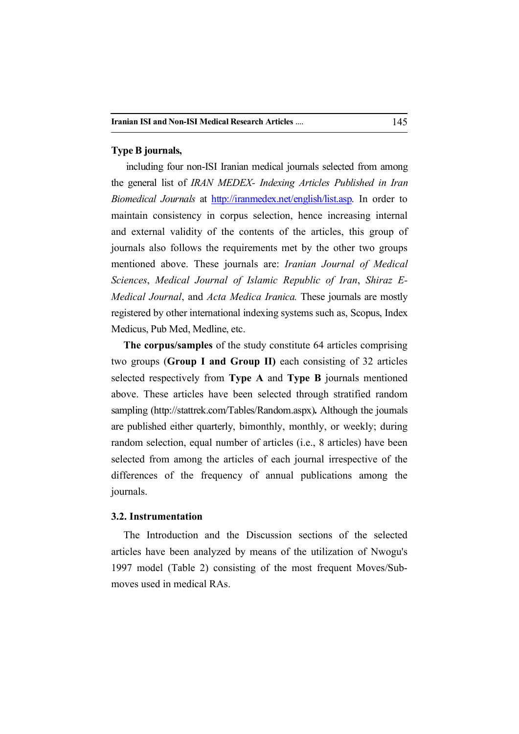### **Type B journals,**

 including four non-ISI Iranian medical journals selected from among the general list of *IRAN MEDEX- Indexing Articles Published in Iran Biomedical Journals* at http://iranmedex.net/english/list.asp. In order to maintain consistency in corpus selection, hence increasing internal and external validity of the contents of the articles, this group of journals also follows the requirements met by the other two groups mentioned above. These journals are: *Iranian Journal of Medical Sciences*, *Medical Journal of Islamic Republic of Iran*, *Shiraz E-Medical Journal*, and *Acta Medica Iranica.* These journals are mostly registered by other international indexing systems such as, Scopus, Index Medicus, Pub Med, Medline, etc.

**The corpus/samples** of the study constitute 64 articles comprising two groups (**Group I and Group II)** each consisting of 32 articles selected respectively from **Type A** and **Type B** journals mentioned above. These articles have been selected through stratified random sampling (http://stattrek.com/Tables/Random.aspx)**.** Although the journals are published either quarterly, bimonthly, monthly, or weekly; during random selection, equal number of articles (i.e., 8 articles) have been selected from among the articles of each journal irrespective of the differences of the frequency of annual publications among the journals.

### **3.2. Instrumentation**

The Introduction and the Discussion sections of the selected articles have been analyzed by means of the utilization of Nwogu's 1997 model (Table 2) consisting of the most frequent Moves/Submoves used in medical RAs.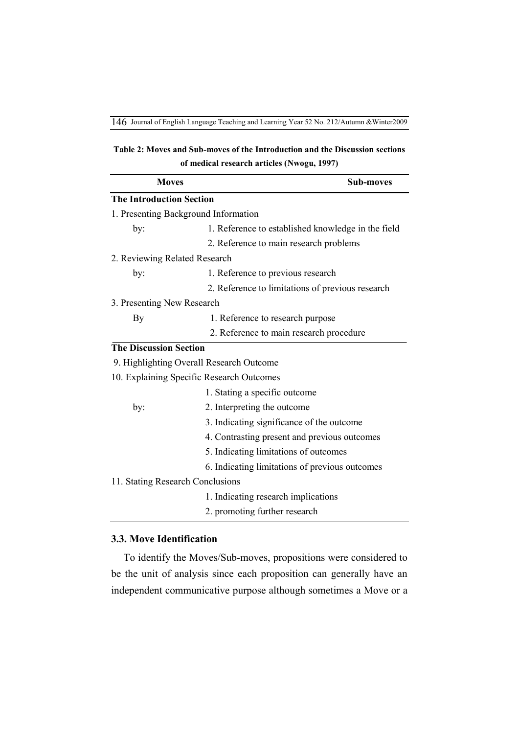**Table 2: Moves and Sub-moves of the Introduction and the Discussion sections of medical research articles (Nwogu, 1997)**

| <b>Moves</b>                                              | <b>Sub-moves</b>                                 |  |  |  |  |  |  |
|-----------------------------------------------------------|--------------------------------------------------|--|--|--|--|--|--|
| <b>The Introduction Section</b>                           |                                                  |  |  |  |  |  |  |
| 1. Presenting Background Information                      |                                                  |  |  |  |  |  |  |
| 1. Reference to established knowledge in the field<br>by: |                                                  |  |  |  |  |  |  |
|                                                           | 2. Reference to main research problems           |  |  |  |  |  |  |
| 2. Reviewing Related Research                             |                                                  |  |  |  |  |  |  |
| by:                                                       | 1. Reference to previous research                |  |  |  |  |  |  |
|                                                           | 2. Reference to limitations of previous research |  |  |  |  |  |  |
| 3. Presenting New Research                                |                                                  |  |  |  |  |  |  |
| By                                                        | 1. Reference to research purpose                 |  |  |  |  |  |  |
|                                                           | 2. Reference to main research procedure          |  |  |  |  |  |  |
| <b>The Discussion Section</b>                             |                                                  |  |  |  |  |  |  |
| 9. Highlighting Overall Research Outcome                  |                                                  |  |  |  |  |  |  |
| 10. Explaining Specific Research Outcomes                 |                                                  |  |  |  |  |  |  |
|                                                           | 1. Stating a specific outcome                    |  |  |  |  |  |  |
| by:                                                       | 2. Interpreting the outcome                      |  |  |  |  |  |  |
|                                                           | 3. Indicating significance of the outcome        |  |  |  |  |  |  |
|                                                           | 4. Contrasting present and previous outcomes     |  |  |  |  |  |  |
|                                                           | 5. Indicating limitations of outcomes            |  |  |  |  |  |  |
|                                                           | 6. Indicating limitations of previous outcomes   |  |  |  |  |  |  |
| 11. Stating Research Conclusions                          |                                                  |  |  |  |  |  |  |
|                                                           | 1. Indicating research implications              |  |  |  |  |  |  |
|                                                           | 2. promoting further research                    |  |  |  |  |  |  |

## **3.3. Move Identification**

To identify the Moves/Sub-moves, propositions were considered to be the unit of analysis since each proposition can generally have an independent communicative purpose although sometimes a Move or a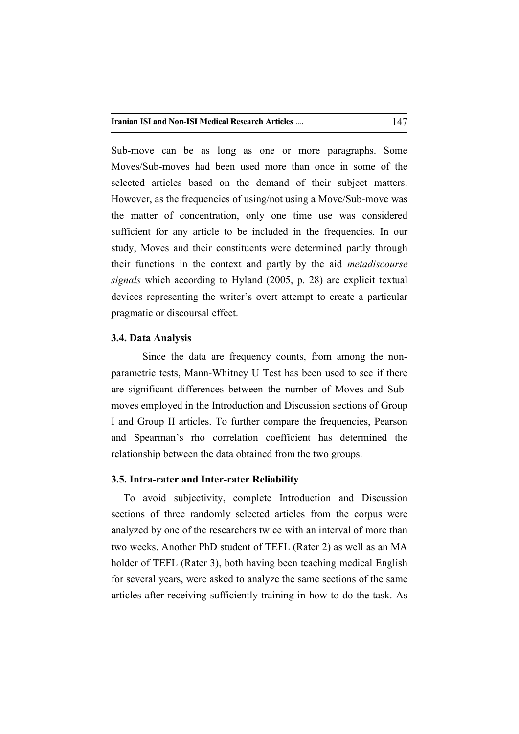Sub-move can be as long as one or more paragraphs. Some Moves/Sub-moves had been used more than once in some of the selected articles based on the demand of their subject matters. However, as the frequencies of using/not using a Move/Sub-move was the matter of concentration, only one time use was considered sufficient for any article to be included in the frequencies. In our study, Moves and their constituents were determined partly through their functions in the context and partly by the aid *metadiscourse signals* which according to Hyland (2005, p. 28) are explicit textual devices representing the writer's overt attempt to create a particular pragmatic or discoursal effect.

### **3.4. Data Analysis**

Since the data are frequency counts, from among the nonparametric tests, Mann-Whitney U Test has been used to see if there are significant differences between the number of Moves and Submoves employed in the Introduction and Discussion sections of Group I and Group II articles. To further compare the frequencies, Pearson and Spearman's rho correlation coefficient has determined the relationship between the data obtained from the two groups.

### **3.5. Intra-rater and Inter-rater Reliability**

To avoid subjectivity, complete Introduction and Discussion sections of three randomly selected articles from the corpus were analyzed by one of the researchers twice with an interval of more than two weeks. Another PhD student of TEFL (Rater 2) as well as an MA holder of TEFL (Rater 3), both having been teaching medical English for several years, were asked to analyze the same sections of the same articles after receiving sufficiently training in how to do the task. As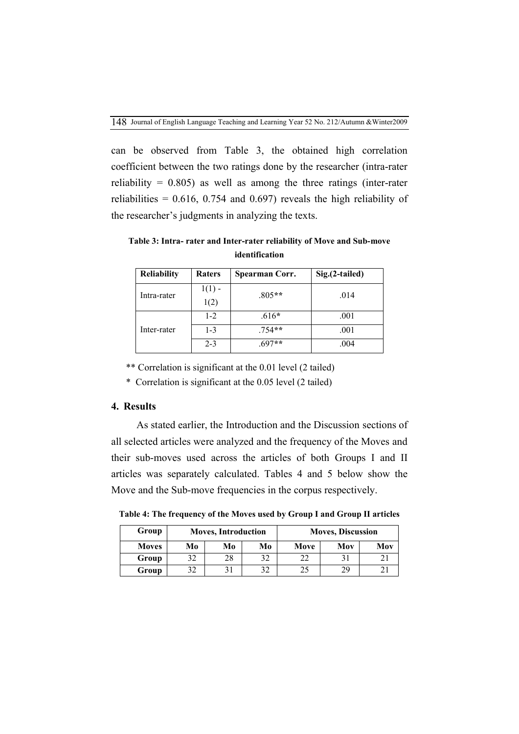can be observed from Table 3, the obtained high correlation coefficient between the two ratings done by the researcher (intra-rater reliability =  $0.805$ ) as well as among the three ratings (inter-rater reliabilities =  $0.616$ ,  $0.754$  and  $0.697$ ) reveals the high reliability of the researcher's judgments in analyzing the texts.

**Table 3: Intra- rater and Inter-rater reliability of Move and Sub-move identification**

| <b>Reliability</b><br>Raters |                  | Spearman Corr. | Sig.(2-tailed) |  |  |
|------------------------------|------------------|----------------|----------------|--|--|
| Intra-rater                  | $1(1)$ -<br>1(2) | $.805**$       | .014           |  |  |
|                              | $1-2$            | $.616*$        | .001           |  |  |
| Inter-rater                  | $1 - 3$          | $.754**$       | .001           |  |  |
|                              | $2 - 3$          | $697**$        | .004           |  |  |

\*\* Correlation is significant at the 0.01 level (2 tailed)

\* Correlation is significant at the 0.05 level (2 tailed)

### **4. Results**

 As stated earlier, the Introduction and the Discussion sections of all selected articles were analyzed and the frequency of the Moves and their sub-moves used across the articles of both Groups I and II articles was separately calculated. Tables 4 and 5 below show the Move and the Sub-move frequencies in the corpus respectively.

**Table 4: The frequency of the Moves used by Group I and Group II articles**

| Group        |    | <b>Moves, Introduction</b> |    | <b>Moves, Discussion</b> |     |  |  |  |
|--------------|----|----------------------------|----|--------------------------|-----|--|--|--|
| <b>Moves</b> | Mo | Mo                         | Mo | Move                     | Mov |  |  |  |
| Group        |    |                            |    |                          |     |  |  |  |
| Group        |    |                            |    |                          | 29  |  |  |  |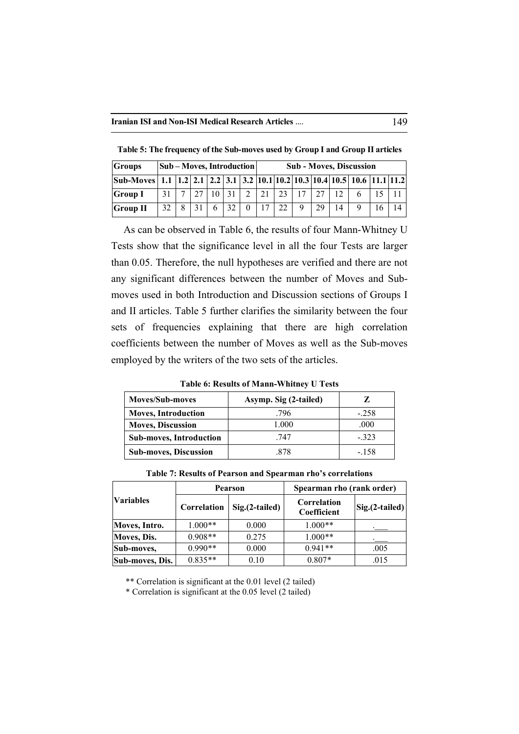| <b>Groups</b>                                                                                        | Sub – Moves, Introduction |  |  |              |    | <b>Sub - Moves, Discussion</b> |    |    |             |    |    |  |   |  |
|------------------------------------------------------------------------------------------------------|---------------------------|--|--|--------------|----|--------------------------------|----|----|-------------|----|----|--|---|--|
| Sub-Moves  1.1   1.2   2.1   2.2   3.1   3.2   10.1   10.2   10.3   10.4   10.5   10.6   11.1   11.2 |                           |  |  |              |    |                                |    |    |             |    |    |  |   |  |
| <b>Group I</b>                                                                                       | 31                        |  |  | $10 \mid 31$ |    | 2                              | 21 | 23 | 17          | 27 | 12 |  |   |  |
| <b>Group II</b>                                                                                      | 32                        |  |  |              | 32 |                                |    |    | $\mathbf Q$ | 29 | 14 |  | 6 |  |

**Table 5: The frequency of the Sub-moves used by Group I and Group II articles** 

As can be observed in Table 6, the results of four Mann-Whitney U Tests show that the significance level in all the four Tests are larger than 0.05. Therefore, the null hypotheses are verified and there are not any significant differences between the number of Moves and Submoves used in both Introduction and Discussion sections of Groups I and II articles. Table 5 further clarifies the similarity between the four sets of frequencies explaining that there are high correlation coefficients between the number of Moves as well as the Sub-moves employed by the writers of the two sets of the articles.

**Table 6: Results of Mann-Whitney U Tests**

| <b>Moves/Sub-moves</b>         | Asymp. Sig (2-tailed) |        |
|--------------------------------|-----------------------|--------|
| <b>Moves, Introduction</b>     | .796                  | $-258$ |
| <b>Moves, Discussion</b>       | 1.000                 | .000   |
| <b>Sub-moves, Introduction</b> | -747                  | $-323$ |
| <b>Sub-moves, Discussion</b>   | 878                   | - 158  |

**Table 7: Results of Pearson and Spearman rho's correlations** 

|                  |             | Pearson          | Spearman rho (rank order)  |                                 |  |  |
|------------------|-------------|------------------|----------------------------|---------------------------------|--|--|
| <b>Variables</b> | Correlation | $Sig.(2-tailed)$ | Correlation<br>Coefficient | $\left  Sig.(2-tailed) \right $ |  |  |
| Moves, Intro.    | $1.000**$   | 0.000            | $1.000**$                  |                                 |  |  |
| Moves, Dis.      | $0.908**$   | 0.275            | $1.000**$                  |                                 |  |  |
| Sub-moves,       | $0.990**$   | 0.000            | $0.941**$                  | .005                            |  |  |
| Sub-moves, Dis.  | $0.835**$   | 0.10             | $0.807*$                   | .015                            |  |  |

\*\* Correlation is significant at the 0.01 level (2 tailed)

\* Correlation is significant at the 0.05 level (2 tailed)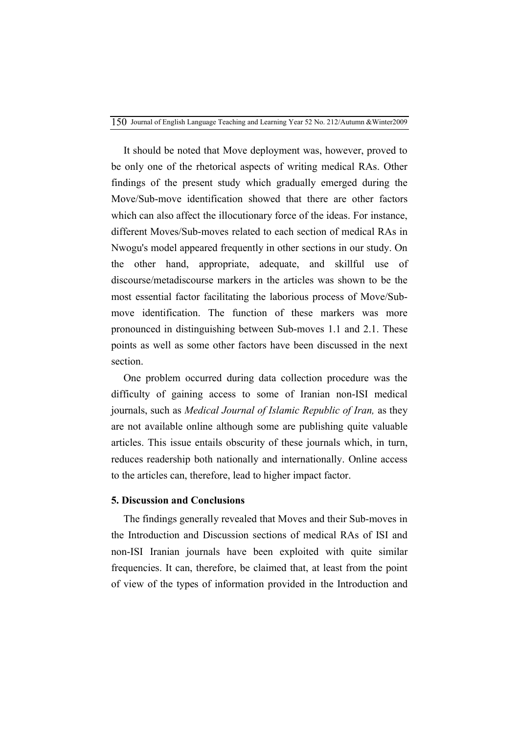It should be noted that Move deployment was, however, proved to be only one of the rhetorical aspects of writing medical RAs. Other findings of the present study which gradually emerged during the Move/Sub-move identification showed that there are other factors which can also affect the illocutionary force of the ideas. For instance, different Moves/Sub-moves related to each section of medical RAs in Nwogu's model appeared frequently in other sections in our study. On the other hand, appropriate, adequate, and skillful use of discourse/metadiscourse markers in the articles was shown to be the most essential factor facilitating the laborious process of Move/Submove identification. The function of these markers was more pronounced in distinguishing between Sub-moves 1.1 and 2.1. These points as well as some other factors have been discussed in the next section.

One problem occurred during data collection procedure was the difficulty of gaining access to some of Iranian non-ISI medical journals, such as *Medical Journal of Islamic Republic of Iran,* as they are not available online although some are publishing quite valuable articles. This issue entails obscurity of these journals which, in turn, reduces readership both nationally and internationally. Online access to the articles can, therefore, lead to higher impact factor.

### **5. Discussion and Conclusions**

The findings generally revealed that Moves and their Sub-moves in the Introduction and Discussion sections of medical RAs of ISI and non-ISI Iranian journals have been exploited with quite similar frequencies. It can, therefore, be claimed that, at least from the point of view of the types of information provided in the Introduction and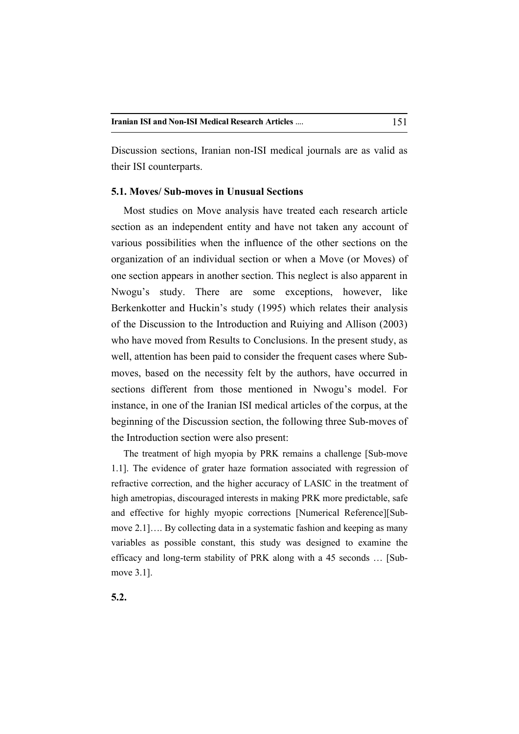Discussion sections, Iranian non-ISI medical journals are as valid as their ISI counterparts.

### **5.1. Moves/ Sub-moves in Unusual Sections**

Most studies on Move analysis have treated each research article section as an independent entity and have not taken any account of various possibilities when the influence of the other sections on the organization of an individual section or when a Move (or Moves) of one section appears in another section. This neglect is also apparent in Nwogu's study. There are some exceptions, however, like Berkenkotter and Huckin's study (1995) which relates their analysis of the Discussion to the Introduction and Ruiying and Allison (2003) who have moved from Results to Conclusions. In the present study, as well, attention has been paid to consider the frequent cases where Submoves, based on the necessity felt by the authors, have occurred in sections different from those mentioned in Nwogu's model. For instance, in one of the Iranian ISI medical articles of the corpus, at the beginning of the Discussion section, the following three Sub-moves of the Introduction section were also present:

The treatment of high myopia by PRK remains a challenge [Sub-move 1.1]. The evidence of grater haze formation associated with regression of refractive correction, and the higher accuracy of LASIC in the treatment of high ametropias, discouraged interests in making PRK more predictable, safe and effective for highly myopic corrections [Numerical Reference][Submove 2.1]…. By collecting data in a systematic fashion and keeping as many variables as possible constant, this study was designed to examine the efficacy and long-term stability of PRK along with a 45 seconds … [Submove 3.1].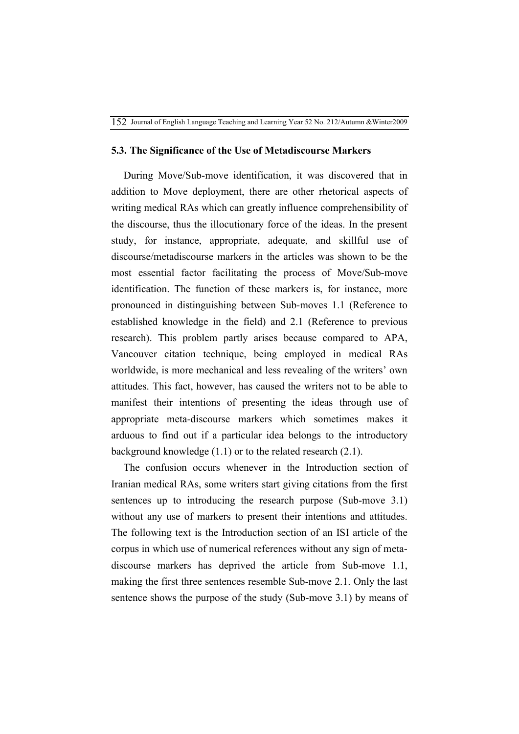### **5.3. The Significance of the Use of Metadiscourse Markers**

During Move/Sub-move identification, it was discovered that in addition to Move deployment, there are other rhetorical aspects of writing medical RAs which can greatly influence comprehensibility of the discourse, thus the illocutionary force of the ideas. In the present study, for instance, appropriate, adequate, and skillful use of discourse/metadiscourse markers in the articles was shown to be the most essential factor facilitating the process of Move/Sub-move identification. The function of these markers is, for instance, more pronounced in distinguishing between Sub-moves 1.1 (Reference to established knowledge in the field) and 2.1 (Reference to previous research). This problem partly arises because compared to APA, Vancouver citation technique, being employed in medical RAs worldwide, is more mechanical and less revealing of the writers' own attitudes. This fact, however, has caused the writers not to be able to manifest their intentions of presenting the ideas through use of appropriate meta-discourse markers which sometimes makes it arduous to find out if a particular idea belongs to the introductory background knowledge (1.1) or to the related research (2.1).

The confusion occurs whenever in the Introduction section of Iranian medical RAs, some writers start giving citations from the first sentences up to introducing the research purpose (Sub-move 3.1) without any use of markers to present their intentions and attitudes. The following text is the Introduction section of an ISI article of the corpus in which use of numerical references without any sign of metadiscourse markers has deprived the article from Sub-move 1.1, making the first three sentences resemble Sub-move 2.1. Only the last sentence shows the purpose of the study (Sub-move 3.1) by means of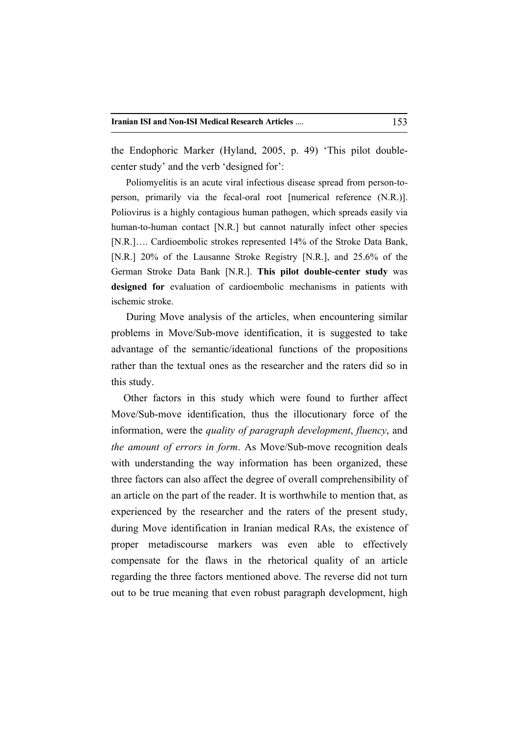the Endophoric Marker (Hyland, 2005, p. 49) 'This pilot doublecenter study' and the verb 'designed for':

Poliomyelitis is an acute viral infectious disease spread from person-toperson, primarily via the fecal-oral root [numerical reference (N.R.)]. Poliovirus is a highly contagious human pathogen, which spreads easily via human-to-human contact [N.R.] but cannot naturally infect other species [N.R.]…. Cardioembolic strokes represented 14% of the Stroke Data Bank, [N.R.] 20% of the Lausanne Stroke Registry [N.R.], and 25.6% of the German Stroke Data Bank [N.R.]. **This pilot double-center study** was **designed for** evaluation of cardioembolic mechanisms in patients with ischemic stroke.

 During Move analysis of the articles, when encountering similar problems in Move/Sub-move identification, it is suggested to take advantage of the semantic/ideational functions of the propositions rather than the textual ones as the researcher and the raters did so in this study.

Other factors in this study which were found to further affect Move/Sub-move identification, thus the illocutionary force of the information, were the *quality of paragraph development*, *fluency*, and *the amount of errors in form*. As Move/Sub-move recognition deals with understanding the way information has been organized, these three factors can also affect the degree of overall comprehensibility of an article on the part of the reader. It is worthwhile to mention that, as experienced by the researcher and the raters of the present study, during Move identification in Iranian medical RAs, the existence of proper metadiscourse markers was even able to effectively compensate for the flaws in the rhetorical quality of an article regarding the three factors mentioned above. The reverse did not turn out to be true meaning that even robust paragraph development, high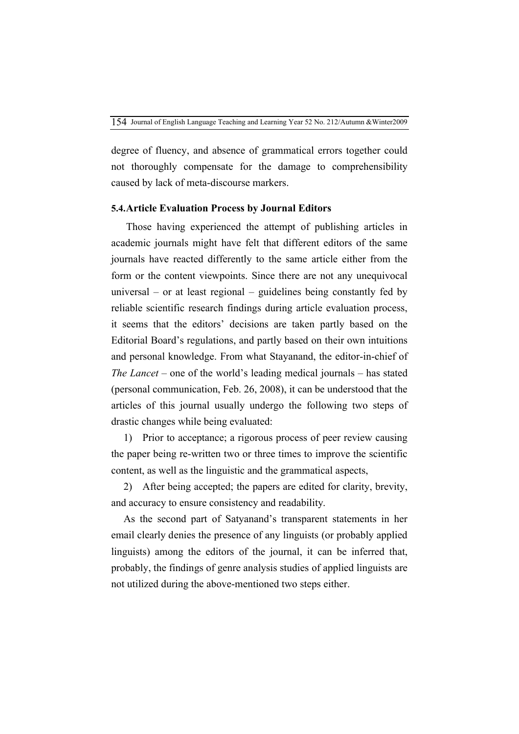degree of fluency, and absence of grammatical errors together could not thoroughly compensate for the damage to comprehensibility caused by lack of meta-discourse markers.

### **5.4.Article Evaluation Process by Journal Editors**

 Those having experienced the attempt of publishing articles in academic journals might have felt that different editors of the same journals have reacted differently to the same article either from the form or the content viewpoints. Since there are not any unequivocal universal – or at least regional – guidelines being constantly fed by reliable scientific research findings during article evaluation process, it seems that the editors' decisions are taken partly based on the Editorial Board's regulations, and partly based on their own intuitions and personal knowledge. From what Stayanand, the editor-in-chief of *The Lancet* – one of the world's leading medical journals – has stated (personal communication, Feb. 26, 2008), it can be understood that the articles of this journal usually undergo the following two steps of drastic changes while being evaluated:

1) Prior to acceptance; a rigorous process of peer review causing the paper being re-written two or three times to improve the scientific content, as well as the linguistic and the grammatical aspects,

2) After being accepted; the papers are edited for clarity, brevity, and accuracy to ensure consistency and readability.

As the second part of Satyanand's transparent statements in her email clearly denies the presence of any linguists (or probably applied linguists) among the editors of the journal, it can be inferred that, probably, the findings of genre analysis studies of applied linguists are not utilized during the above-mentioned two steps either.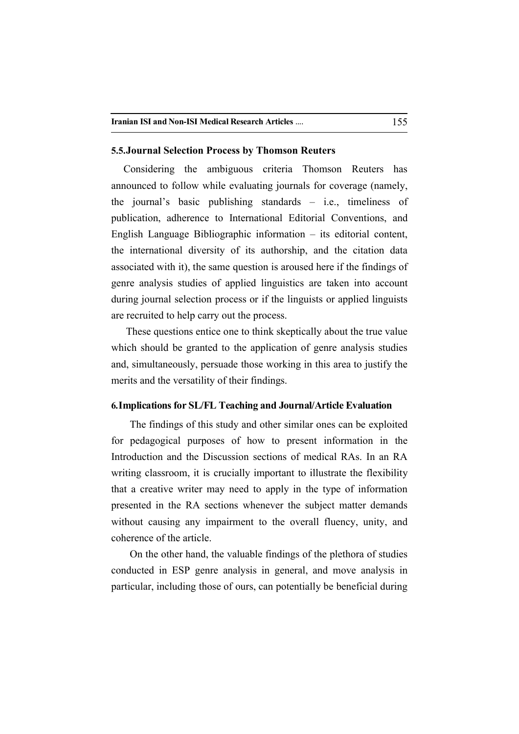### **5.5.Journal Selection Process by Thomson Reuters**

Considering the ambiguous criteria Thomson Reuters has announced to follow while evaluating journals for coverage (namely, the journal's basic publishing standards – i.e., timeliness of publication, adherence to International Editorial Conventions, and English Language Bibliographic information – its editorial content, the international diversity of its authorship, and the citation data associated with it), the same question is aroused here if the findings of genre analysis studies of applied linguistics are taken into account during journal selection process or if the linguists or applied linguists are recruited to help carry out the process.

These questions entice one to think skeptically about the true value which should be granted to the application of genre analysis studies and, simultaneously, persuade those working in this area to justify the merits and the versatility of their findings.

### **6.Implications for SL/FL Teaching and Journal/Article Evaluation**

The findings of this study and other similar ones can be exploited for pedagogical purposes of how to present information in the Introduction and the Discussion sections of medical RAs. In an RA writing classroom, it is crucially important to illustrate the flexibility that a creative writer may need to apply in the type of information presented in the RA sections whenever the subject matter demands without causing any impairment to the overall fluency, unity, and coherence of the article.

On the other hand, the valuable findings of the plethora of studies conducted in ESP genre analysis in general, and move analysis in particular, including those of ours, can potentially be beneficial during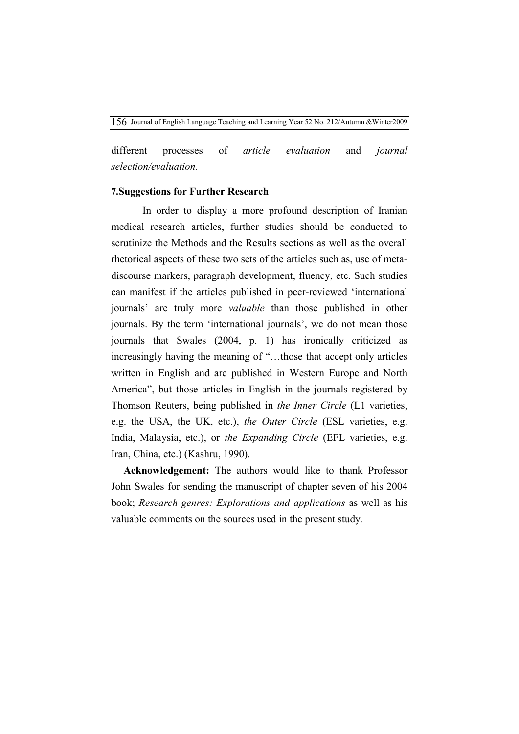different processes of *article evaluation* and *journal selection/evaluation.*

### **7.Suggestions for Further Research**

In order to display a more profound description of Iranian medical research articles, further studies should be conducted to scrutinize the Methods and the Results sections as well as the overall rhetorical aspects of these two sets of the articles such as, use of metadiscourse markers, paragraph development, fluency, etc. Such studies can manifest if the articles published in peer-reviewed 'international journals' are truly more *valuable* than those published in other journals. By the term 'international journals', we do not mean those journals that Swales (2004, p. 1) has ironically criticized as increasingly having the meaning of "…those that accept only articles written in English and are published in Western Europe and North America", but those articles in English in the journals registered by Thomson Reuters, being published in *the Inner Circle* (L1 varieties, e.g. the USA, the UK, etc.), *the Outer Circle* (ESL varieties, e.g. India, Malaysia, etc.), or *the Expanding Circle* (EFL varieties, e.g. Iran, China, etc.) (Kashru, 1990).

**Acknowledgement:** The authors would like to thank Professor John Swales for sending the manuscript of chapter seven of his 2004 book; *Research genres: Explorations and applications* as well as his valuable comments on the sources used in the present study.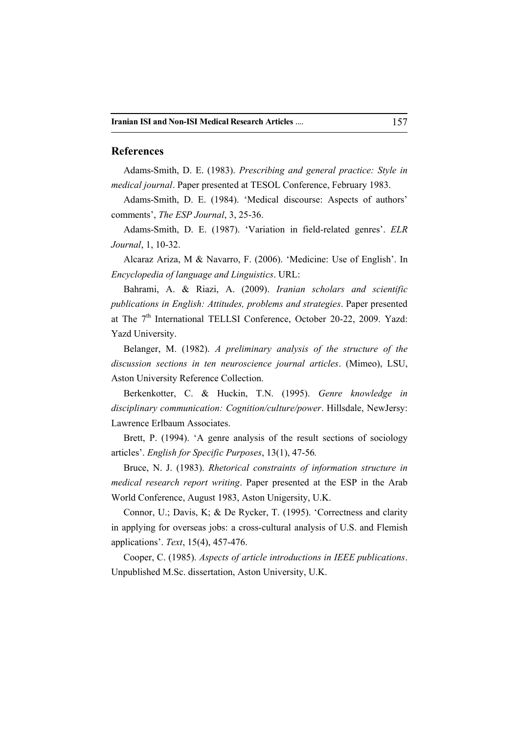### **References**

Adams-Smith, D. E. (1983). *Prescribing and general practice: Style in medical journal*. Paper presented at TESOL Conference, February 1983.

Adams-Smith, D. E. (1984). 'Medical discourse: Aspects of authors' comments', *The ESP Journal*, 3, 25-36.

Adams-Smith, D. E. (1987). 'Variation in field-related genres'. *ELR Journal*, 1, 10-32.

Alcaraz Ariza, M & Navarro, F. (2006). 'Medicine: Use of English'. In *Encyclopedia of language and Linguistics*. URL:

Bahrami, A. & Riazi, A. (2009). *Iranian scholars and scientific publications in English: Attitudes, problems and strategies*. Paper presented at The 7<sup>th</sup> International TELLSI Conference, October 20-22, 2009. Yazd: Yazd University.

Belanger, M. (1982). *A preliminary analysis of the structure of the discussion sections in ten neuroscience journal articles*. (Mimeo), LSU, Aston University Reference Collection.

Berkenkotter, C. & Huckin, T.N. (1995). *Genre knowledge in disciplinary communication: Cognition/culture/power*. Hillsdale, NewJersy: Lawrence Erlbaum Associates.

Brett, P. (1994). 'A genre analysis of the result sections of sociology articles'. *English for Specific Purposes*, 13(1), 47-56*.*

Bruce, N. J. (1983). *Rhetorical constraints of information structure in medical research report writing*. Paper presented at the ESP in the Arab World Conference, August 1983, Aston Unigersity, U.K.

Connor, U.; Davis, K; & De Rycker, T. (1995). 'Correctness and clarity in applying for overseas jobs: a cross-cultural analysis of U.S. and Flemish applications'. *Text*, 15(4), 457-476.

Cooper, C. (1985). *Aspects of article introductions in IEEE publications*. Unpublished M.Sc. dissertation, Aston University, U.K.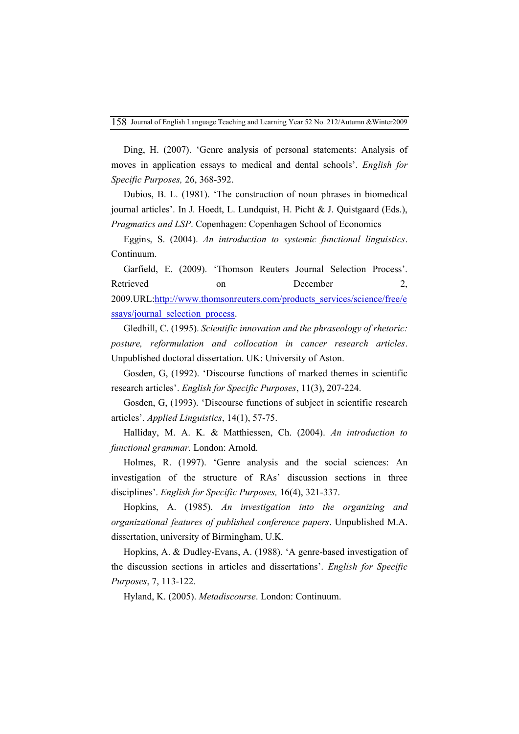Ding, H. (2007). 'Genre analysis of personal statements: Analysis of moves in application essays to medical and dental schools'. *English for Specific Purposes,* 26, 368-392.

Dubios, B. L. (1981). 'The construction of noun phrases in biomedical journal articles'. In J. Hoedt, L. Lundquist, H. Picht & J. Quistgaard (Eds.), *Pragmatics and LSP*. Copenhagen: Copenhagen School of Economics

Eggins, S. (2004). *An introduction to systemic functional linguistics*. Continuum.

Garfield, E. (2009). 'Thomson Reuters Journal Selection Process'. Retrieved on December 2, 2009.URL:http://www.thomsonreuters.com/products\_services/science/free/e ssays/journal\_selection\_process.

Gledhill, C. (1995). *Scientific innovation and the phraseology of rhetoric: posture, reformulation and collocation in cancer research articles*. Unpublished doctoral dissertation. UK: University of Aston.

Gosden, G, (1992). 'Discourse functions of marked themes in scientific research articles'. *English for Specific Purposes*, 11(3), 207-224.

Gosden, G, (1993). 'Discourse functions of subject in scientific research articles'. *Applied Linguistics*, 14(1), 57-75.

Halliday, M. A. K. & Matthiessen, Ch. (2004). *An introduction to functional grammar.* London: Arnold.

Holmes, R. (1997). 'Genre analysis and the social sciences: An investigation of the structure of RAs' discussion sections in three disciplines'. *English for Specific Purposes,* 16(4), 321-337.

Hopkins, A. (1985). *An investigation into the organizing and organizational features of published conference papers*. Unpublished M.A. dissertation, university of Birmingham, U.K.

Hopkins, A. & Dudley-Evans, A. (1988). 'A genre-based investigation of the discussion sections in articles and dissertations'. *English for Specific Purposes*, 7, 113-122.

Hyland, K. (2005). *Metadiscourse*. London: Continuum.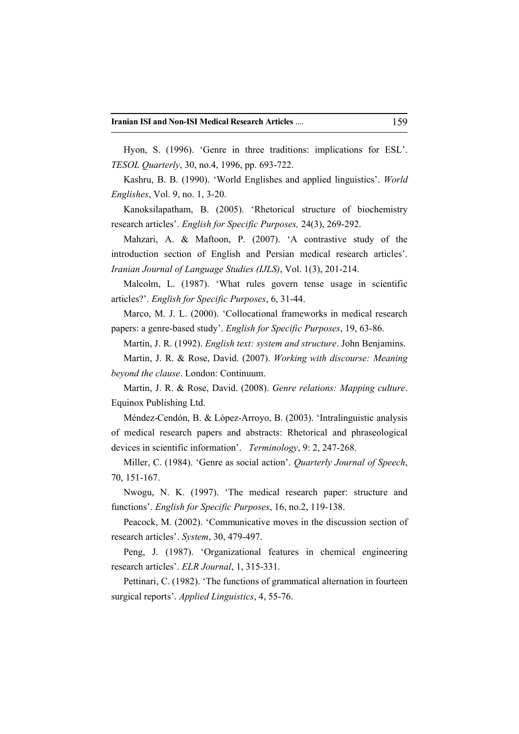Hyon, S. (1996). 'Genre in three traditions: implications for ESL'. *TESOL Quarterly*, 30, no.4, 1996, pp. 693-722.

Kashru, B. B. (1990). 'World Englishes and applied linguistics'. *World Englishes*, Vol. 9, no. 1, 3-20.

Kanoksilapatham, B. (2005). 'Rhetorical structure of biochemistry research articles'. *English for Specific Purposes,* 24(3), 269-292.

Mahzari, A. & Maftoon, P. (2007). 'A contrastive study of the introduction section of English and Persian medical research articles'. *Iranian Journal of Language Studies (IJLS)*, Vol. 1(3), 201-214.

Malcolm, L. (1987). 'What rules govern tense usage in scientific articles?'. *English for Specific Purposes*, 6, 31-44.

Marco, M. J. L. (2000). 'Collocational frameworks in medical research papers: a genre-based study'. *English for Specific Purposes*, 19, 63-86.

Martin, J. R. (1992). *English text: system and structure*. John Benjamins.

Martin, J. R. & Rose, David. (2007). *Working with discourse: Meaning beyond the clause*. London: Continuum.

Martin, J. R. & Rose, David. (2008). *Genre relations: Mapping culture*. Equinox Publishing Ltd.

Méndez-Cendón, B. & López-Arroyo, B. (2003). 'Intralinguistic analysis of medical research papers and abstracts: Rhetorical and phraseological devices in scientific information'. *Terminology*, 9: 2, 247-268.

Miller, C. (1984). 'Genre as social action'. *Quarterly Journal of Speech*, 70, 151-167.

Nwogu, N. K. (1997). 'The medical research paper: structure and functions'. *English for Specific Purposes*, 16, no.2, 119-138.

Peacock, M. (2002). 'Communicative moves in the discussion section of research articles'. *System*, 30, 479-497.

Peng, J. (1987). 'Organizational features in chemical engineering research articles'. *ELR Journal*, 1, 315-331.

Pettinari, C. (1982). 'The functions of grammatical alternation in fourteen surgical reports'. *Applied Linguistics*, 4, 55-76.